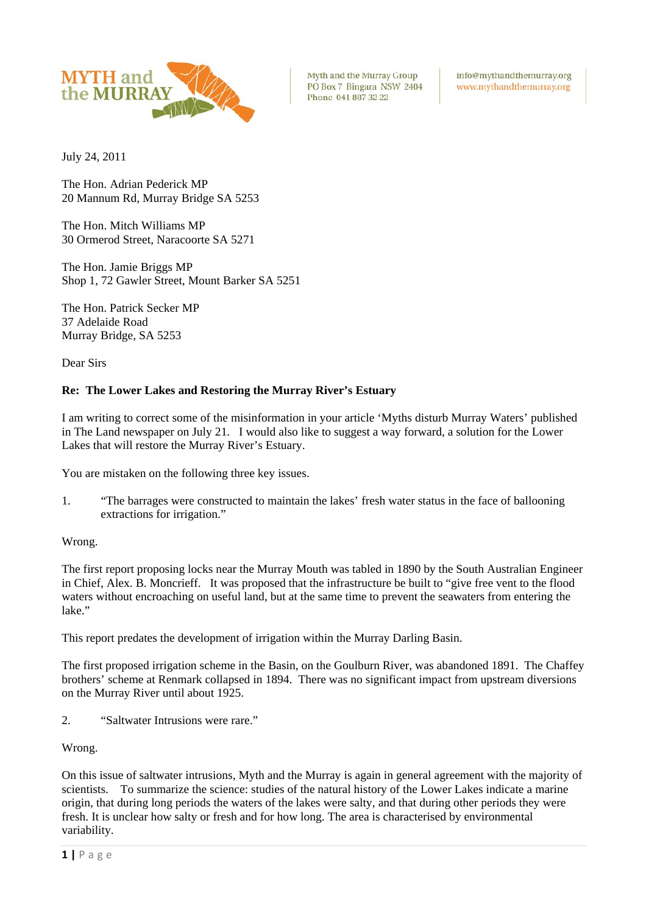

Myth and the Murray Group PO Box 7 Bingara NSW 2404 Phone 041 887 32 22

info@mythandthemurray.org www.mythandthemurray.org

July 24, 2011

The Hon. Adrian Pederick MP 20 Mannum Rd, Murray Bridge SA 5253

The Hon. Mitch Williams MP 30 Ormerod Street, Naracoorte SA 5271

The Hon. Jamie Briggs MP Shop 1, 72 Gawler Street, Mount Barker SA 5251

The Hon. Patrick Secker MP 37 Adelaide Road Murray Bridge, SA 5253

Dear Sirs

## **Re: The Lower Lakes and Restoring the Murray River's Estuary**

I am writing to correct some of the misinformation in your article 'Myths disturb Murray Waters' published in The Land newspaper on July 21. I would also like to suggest a way forward, a solution for the Lower Lakes that will restore the Murray River's Estuary.

You are mistaken on the following three key issues.

1. "The barrages were constructed to maintain the lakes' fresh water status in the face of ballooning extractions for irrigation."

## Wrong.

The first report proposing locks near the Murray Mouth was tabled in 1890 by the South Australian Engineer in Chief, Alex. B. Moncrieff. It was proposed that the infrastructure be built to "give free vent to the flood waters without encroaching on useful land, but at the same time to prevent the seawaters from entering the lake."

This report predates the development of irrigation within the Murray Darling Basin.

The first proposed irrigation scheme in the Basin, on the Goulburn River, was abandoned 1891. The Chaffey brothers' scheme at Renmark collapsed in 1894. There was no significant impact from upstream diversions on the Murray River until about 1925.

2. "Saltwater Intrusions were rare."

Wrong.

On this issue of saltwater intrusions, Myth and the Murray is again in general agreement with the majority of scientists. To summarize the science: studies of the natural history of the Lower Lakes indicate a marine origin, that during long periods the waters of the lakes were salty, and that during other periods they were fresh. It is unclear how salty or fresh and for how long. The area is characterised by environmental variability.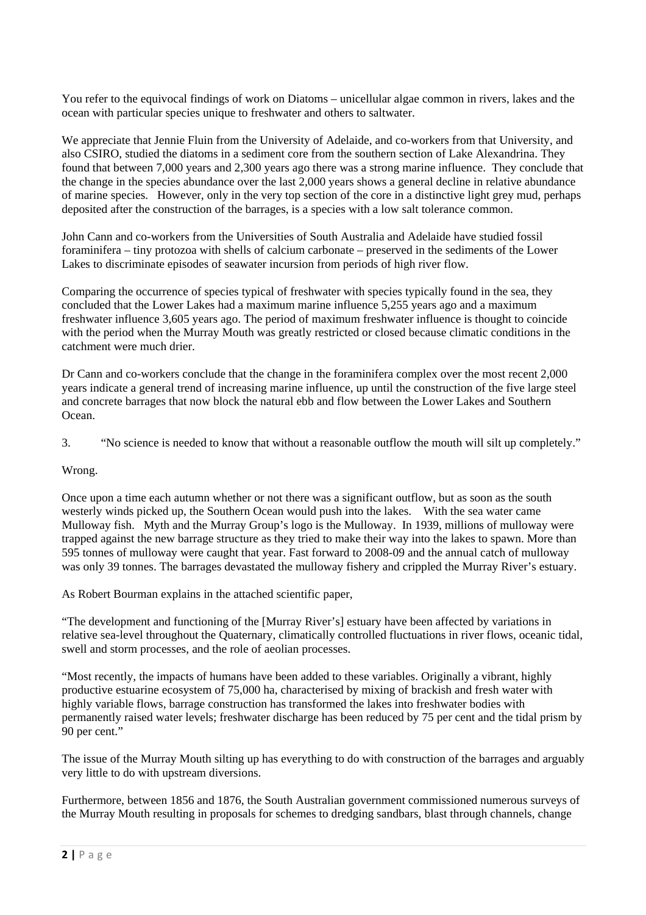You refer to the equivocal findings of work on Diatoms – unicellular algae common in rivers, lakes and the ocean with particular species unique to freshwater and others to saltwater.

We appreciate that Jennie Fluin from the University of Adelaide, and co-workers from that University, and also CSIRO, studied the diatoms in a sediment core from the southern section of Lake Alexandrina. They found that between 7,000 years and 2,300 years ago there was a strong marine influence. They conclude that the change in the species abundance over the last 2,000 years shows a general decline in relative abundance of marine species. However, only in the very top section of the core in a distinctive light grey mud, perhaps deposited after the construction of the barrages, is a species with a low salt tolerance common.

John Cann and co-workers from the Universities of South Australia and Adelaide have studied fossil foraminifera – tiny protozoa with shells of calcium carbonate – preserved in the sediments of the Lower Lakes to discriminate episodes of seawater incursion from periods of high river flow.

Comparing the occurrence of species typical of freshwater with species typically found in the sea, they concluded that the Lower Lakes had a maximum marine influence 5,255 years ago and a maximum freshwater influence 3,605 years ago. The period of maximum freshwater influence is thought to coincide with the period when the Murray Mouth was greatly restricted or closed because climatic conditions in the catchment were much drier.

Dr Cann and co-workers conclude that the change in the foraminifera complex over the most recent 2,000 years indicate a general trend of increasing marine influence, up until the construction of the five large steel and concrete barrages that now block the natural ebb and flow between the Lower Lakes and Southern Ocean.

3. "No science is needed to know that without a reasonable outflow the mouth will silt up completely."

## Wrong.

Once upon a time each autumn whether or not there was a significant outflow, but as soon as the south westerly winds picked up, the Southern Ocean would push into the lakes. With the sea water came Mulloway fish. Myth and the Murray Group's logo is the Mulloway. In 1939, millions of mulloway were trapped against the new barrage structure as they tried to make their way into the lakes to spawn. More than 595 tonnes of mulloway were caught that year. Fast forward to 2008-09 and the annual catch of mulloway was only 39 tonnes. The barrages devastated the mulloway fishery and crippled the Murray River's estuary.

As Robert Bourman explains in the attached scientific paper,

"The development and functioning of the [Murray River's] estuary have been affected by variations in relative sea-level throughout the Quaternary, climatically controlled fluctuations in river flows, oceanic tidal, swell and storm processes, and the role of aeolian processes.

"Most recently, the impacts of humans have been added to these variables. Originally a vibrant, highly productive estuarine ecosystem of 75,000 ha, characterised by mixing of brackish and fresh water with highly variable flows, barrage construction has transformed the lakes into freshwater bodies with permanently raised water levels; freshwater discharge has been reduced by 75 per cent and the tidal prism by 90 per cent."

The issue of the Murray Mouth silting up has everything to do with construction of the barrages and arguably very little to do with upstream diversions.

Furthermore, between 1856 and 1876, the South Australian government commissioned numerous surveys of the Murray Mouth resulting in proposals for schemes to dredging sandbars, blast through channels, change